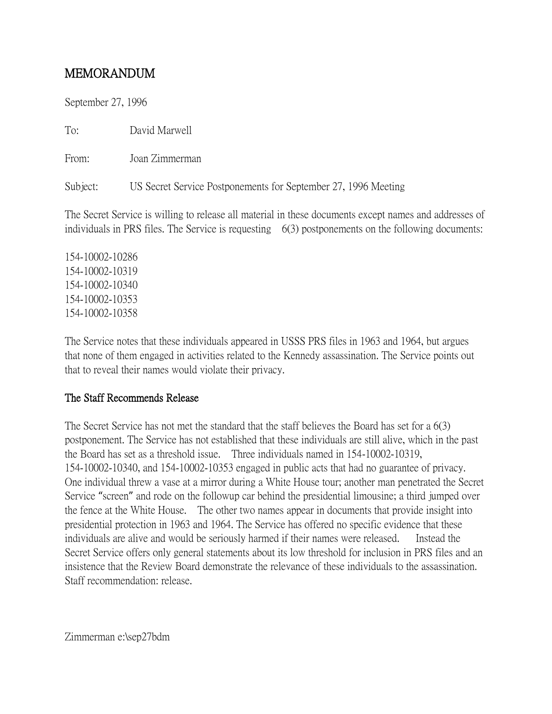## MEMORANDUM

September 27, 1996

To: David Marwell

From: Joan Zimmerman

Subject: US Secret Service Postponements for September 27, 1996 Meeting

The Secret Service is willing to release all material in these documents except names and addresses of individuals in PRS files. The Service is requesting 6(3) postponements on the following documents:

154-10002-10286 154-10002-10319 154-10002-10340 154-10002-10353 154-10002-10358

The Service notes that these individuals appeared in USSS PRS files in 1963 and 1964, but argues that none of them engaged in activities related to the Kennedy assassination. The Service points out that to reveal their names would violate their privacy.

## The Staff Recommends Release

The Secret Service has not met the standard that the staff believes the Board has set for a 6(3) postponement. The Service has not established that these individuals are still alive, which in the past the Board has set as a threshold issue. Three individuals named in 154-10002-10319, 154-10002-10340, and 154-10002-10353 engaged in public acts that had no guarantee of privacy. One individual threw a vase at a mirror during a White House tour; another man penetrated the Secret Service "screen" and rode on the followup car behind the presidential limousine; a third jumped over the fence at the White House. The other two names appear in documents that provide insight into presidential protection in 1963 and 1964. The Service has offered no specific evidence that these individuals are alive and would be seriously harmed if their names were released. Instead the Secret Service offers only general statements about its low threshold for inclusion in PRS files and an insistence that the Review Board demonstrate the relevance of these individuals to the assassination. Staff recommendation: release.

Zimmerman e:\sep27bdm